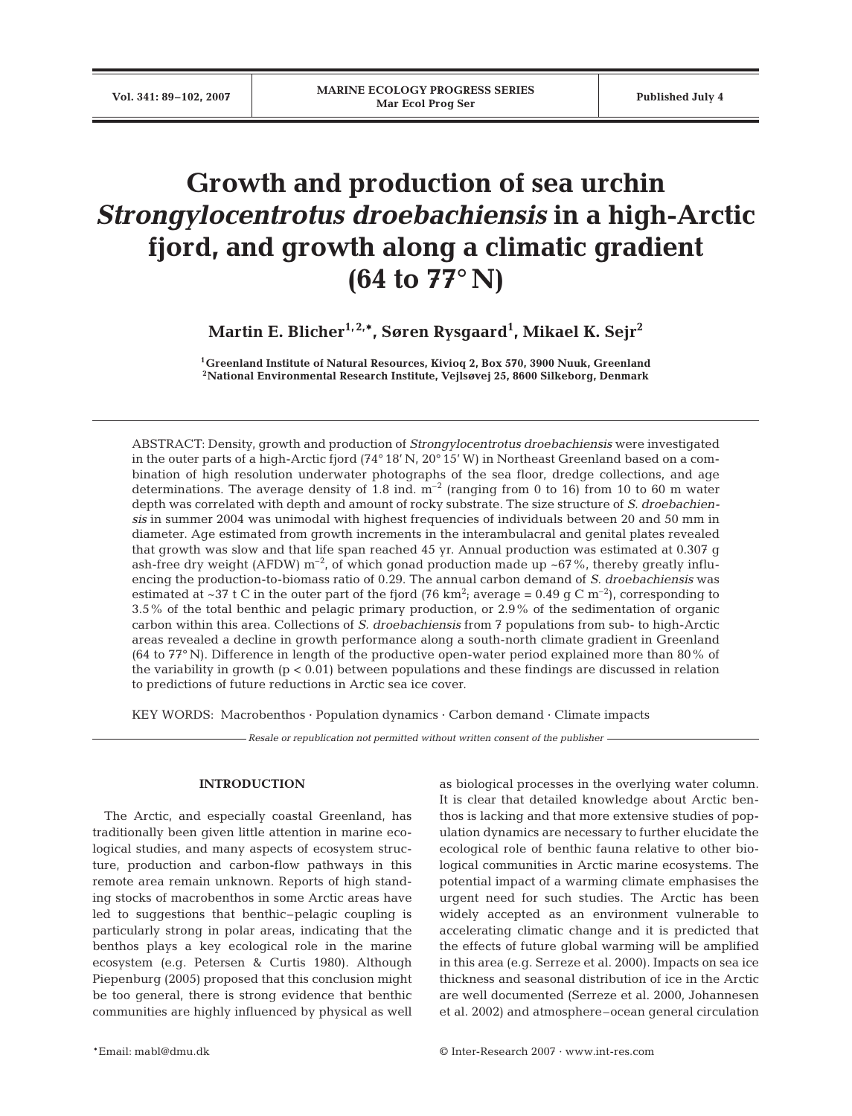# **Growth and production of sea urchin** *Strongylocentrotus droebachiensis* **in a high-Arctic fjord, and growth along a climatic gradient (64 to 77° N)**

**Martin E. Blicher1, 2,\*, Søren Rysgaard1 , Mikael K. Sejr2**

**1Greenland Institute of Natural Resources, Kivioq 2, Box 570, 3900 Nuuk, Greenland 2National Environmental Research Institute, Vejlsøvej 25, 8600 Silkeborg, Denmark**

ABSTRACT: Density, growth and production of *Strongylocentrotus droebachiensis* were investigated in the outer parts of a high-Arctic fjord (74° 18' N, 20° 15' W) in Northeast Greenland based on a combination of high resolution underwater photographs of the sea floor, dredge collections, and age determinations. The average density of 1.8 ind.  $m^{-2}$  (ranging from 0 to 16) from 10 to 60 m water depth was correlated with depth and amount of rocky substrate. The size structure of *S. droebachiensis* in summer 2004 was unimodal with highest frequencies of individuals between 20 and 50 mm in diameter. Age estimated from growth increments in the interambulacral and genital plates revealed that growth was slow and that life span reached 45 yr. Annual production was estimated at 0.307 g ash-free dry weight (AFDW)  $m^{-2}$ , of which gonad production made up ~67%, thereby greatly influencing the production-to-biomass ratio of 0.29. The annual carbon demand of *S. droebachiensis* was estimated at ~37 t C in the outer part of the fjord (76 km<sup>2</sup>; average = 0.49 g C m<sup>-2</sup>), corresponding to 3.5% of the total benthic and pelagic primary production, or 2.9% of the sedimentation of organic carbon within this area. Collections of *S. droebachiensis* from 7 populations from sub- to high-Arctic areas revealed a decline in growth performance along a south-north climate gradient in Greenland (64 to 77° N). Difference in length of the productive open-water period explained more than 80% of the variability in growth  $(p < 0.01)$  between populations and these findings are discussed in relation to predictions of future reductions in Arctic sea ice cover.

KEY WORDS: Macrobenthos · Population dynamics · Carbon demand · Climate impacts

*Resale or republication not permitted without written consent of the publisher*

# **INTRODUCTION**

The Arctic, and especially coastal Greenland, has traditionally been given little attention in marine ecological studies, and many aspects of ecosystem structure, production and carbon-flow pathways in this remote area remain unknown. Reports of high standing stocks of macrobenthos in some Arctic areas have led to suggestions that benthic–pelagic coupling is particularly strong in polar areas, indicating that the benthos plays a key ecological role in the marine ecosystem (e.g. Petersen & Curtis 1980). Although Piepenburg (2005) proposed that this conclusion might be too general, there is strong evidence that benthic communities are highly influenced by physical as well as biological processes in the overlying water column. It is clear that detailed knowledge about Arctic benthos is lacking and that more extensive studies of population dynamics are necessary to further elucidate the ecological role of benthic fauna relative to other biological communities in Arctic marine ecosystems. The potential impact of a warming climate emphasises the urgent need for such studies. The Arctic has been widely accepted as an environment vulnerable to accelerating climatic change and it is predicted that the effects of future global warming will be amplified in this area (e.g. Serreze et al. 2000). Impacts on sea ice thickness and seasonal distribution of ice in the Arctic are well documented (Serreze et al. 2000, Johannesen et al. 2002) and atmosphere–ocean general circulation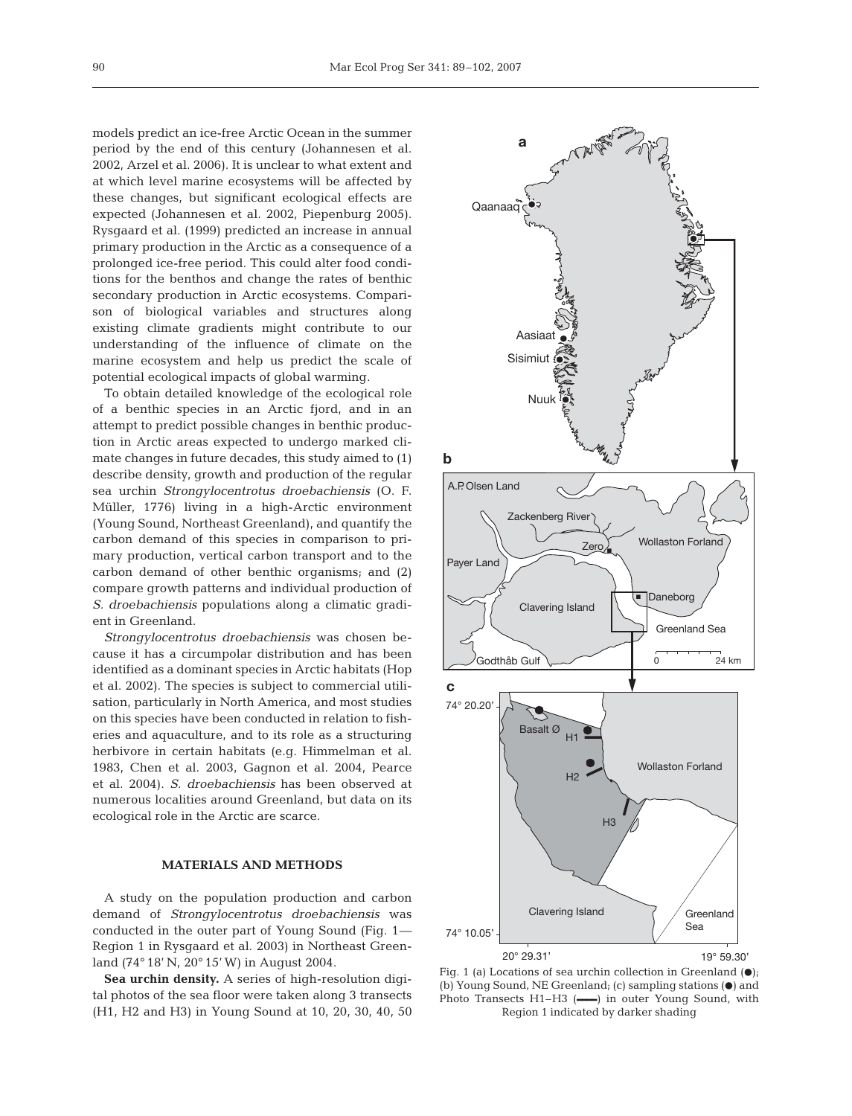models predict an ice-free Arctic Ocean in the summer period by the end of this century (Johannesen et al. 2002, Arzel et al. 2006). It is unclear to what extent and at which level marine ecosystems will be affected by these changes, but significant ecological effects are expected (Johannesen et al. 2002, Piepenburg 2005). Rysgaard et al. (1999) predicted an increase in annual primary production in the Arctic as a consequence of a prolonged ice-free period. This could alter food conditions for the benthos and change the rates of benthic secondary production in Arctic ecosystems. Comparison of biological variables and structures along existing climate gradients might contribute to our understanding of the influence of climate on the marine ecosystem and help us predict the scale of potential ecological impacts of global warming.

To obtain detailed knowledge of the ecological role of a benthic species in an Arctic fjord, and in an attempt to predict possible changes in benthic production in Arctic areas expected to undergo marked climate changes in future decades, this study aimed to (1) describe density, growth and production of the regular sea urchin *Strongylocentrotus droebachiensis* (O. F. Müller, 1776) living in a high-Arctic environment (Young Sound, Northeast Greenland), and quantify the carbon demand of this species in comparison to primary production, vertical carbon transport and to the carbon demand of other benthic organisms; and (2) compare growth patterns and individual production of *S. droebachiensis* populations along a climatic gradient in Greenland.

*Strongylocentrotus droebachiensis* was chosen because it has a circumpolar distribution and has been identified as a dominant species in Arctic habitats (Hop et al. 2002). The species is subject to commercial utilisation, particularly in North America, and most studies on this species have been conducted in relation to fisheries and aquaculture, and to its role as a structuring herbivore in certain habitats (e.g. Himmelman et al. 1983, Chen et al. 2003, Gagnon et al. 2004, Pearce et al. 2004). *S. droebachiensis* has been observed at numerous localities around Greenland, but data on its ecological role in the Arctic are scarce.

# **MATERIALS AND METHODS**

A study on the population production and carbon demand of *Strongylocentrotus droebachiensis* was conducted in the outer part of Young Sound (Fig. 1— Region 1 in Rysgaard et al. 2003) in Northeast Greenland (74° 18' N, 20° 15' W) in August 2004.

**Sea urchin density.** A series of high-resolution digital photos of the sea floor were taken along 3 transects (H1, H2 and H3) in Young Sound at 10, 20, 30, 40, 50



Fig. 1 (a) Locations of sea urchin collection in Greenland  $(•)$ ; (b) Young Sound, NE Greenland; (c) sampling stations  $(\bullet)$  and Photo Transects H1–H3 (**––––**) in outer Young Sound, with Region 1 indicated by darker shading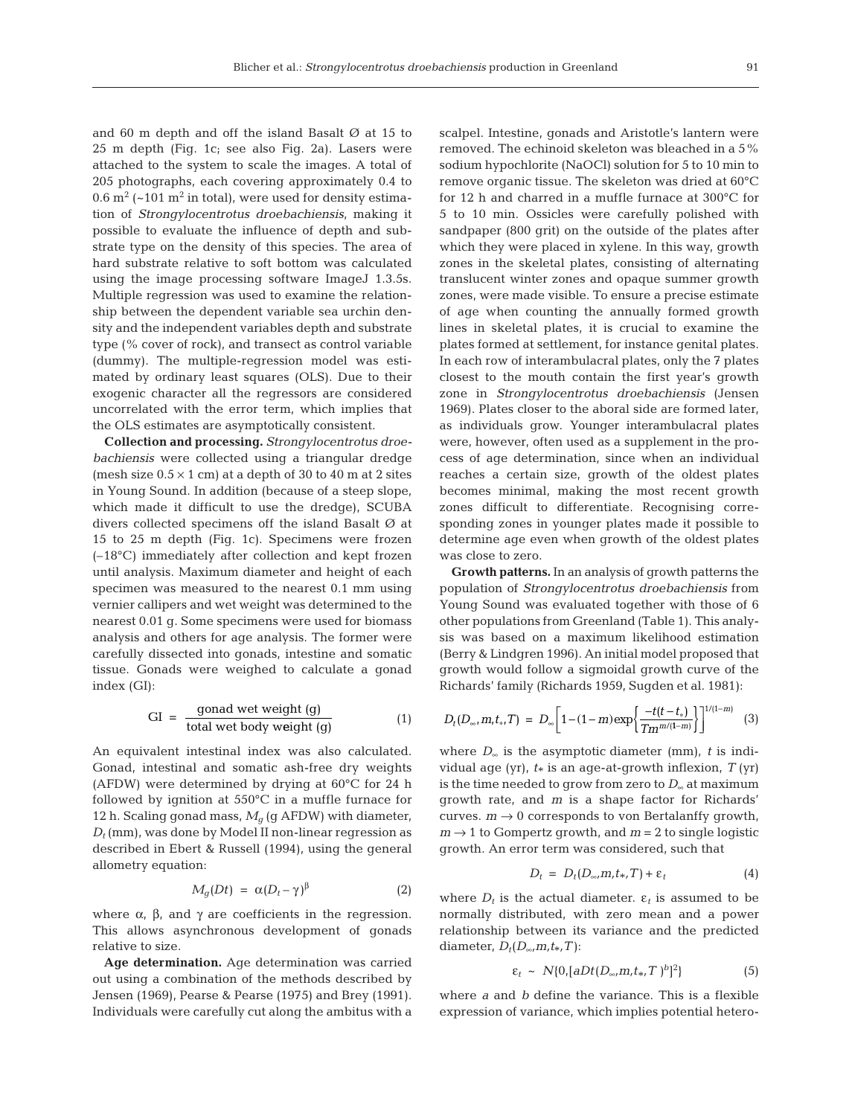and 60 m depth and off the island Basalt Ø at 15 to 25 m depth (Fig. 1c; see also Fig. 2a). Lasers were attached to the system to scale the images. A total of 205 photographs, each covering approximately 0.4 to 0.6  $m^2$  (~101  $m^2$  in total), were used for density estimation of *Strongylocentrotus droebachiensis*, making it possible to evaluate the influence of depth and substrate type on the density of this species. The area of hard substrate relative to soft bottom was calculated using the image processing software ImageJ 1.3.5s. Multiple regression was used to examine the relationship between the dependent variable sea urchin density and the independent variables depth and substrate type (% cover of rock), and transect as control variable (dummy). The multiple-regression model was estimated by ordinary least squares (OLS). Due to their exogenic character all the regressors are considered uncorrelated with the error term, which implies that the OLS estimates are asymptotically consistent.

**Collection and processing.** *Strongylocentrotus droebachiensis* were collected using a triangular dredge (mesh size  $0.5 \times 1$  cm) at a depth of 30 to 40 m at 2 sites in Young Sound. In addition (because of a steep slope, which made it difficult to use the dredge), SCUBA divers collected specimens off the island Basalt Ø at 15 to 25 m depth (Fig. 1c). Specimens were frozen (–18°C) immediately after collection and kept frozen until analysis. Maximum diameter and height of each specimen was measured to the nearest 0.1 mm using vernier callipers and wet weight was determined to the nearest 0.01 g. Some specimens were used for biomass analysis and others for age analysis. The former were carefully dissected into gonads, intestine and somatic tissue. Gonads were weighed to calculate a gonad index (GI):

$$
GI = \frac{gonad wet weight (g)}{\text{total wet body weight (g)}}
$$
 (1)

An equivalent intestinal index was also calculated. Gonad, intestinal and somatic ash-free dry weights (AFDW) were determined by drying at 60°C for 24 h followed by ignition at 550°C in a muffle furnace for 12 h. Scaling gonad mass,  $M<sub>q</sub>$  (g AFDW) with diameter,  $D_t$ (mm), was done by Model II non-linear regression as described in Ebert & Russell (1994), using the general allometry equation:

$$
M_g(Dt) = \alpha (D_t - \gamma)^{\beta} \tag{2}
$$

where  $\alpha$ ,  $\beta$ , and  $\gamma$  are coefficients in the regression. This allows asynchronous development of gonads relative to size.

**Age determination.** Age determination was carried out using a combination of the methods described by Jensen (1969), Pearse & Pearse (1975) and Brey (1991). Individuals were carefully cut along the ambitus with a

scalpel. Intestine, gonads and Aristotle's lantern were removed. The echinoid skeleton was bleached in a 5% sodium hypochlorite (NaOCl) solution for 5 to 10 min to remove organic tissue. The skeleton was dried at 60°C for 12 h and charred in a muffle furnace at 300°C for 5 to 10 min. Ossicles were carefully polished with sandpaper (800 grit) on the outside of the plates after which they were placed in xylene. In this way, growth zones in the skeletal plates, consisting of alternating translucent winter zones and opaque summer growth zones, were made visible. To ensure a precise estimate of age when counting the annually formed growth lines in skeletal plates, it is crucial to examine the plates formed at settlement, for instance genital plates. In each row of interambulacral plates, only the 7 plates closest to the mouth contain the first year's growth zone in *Strongylocentrotus droebachiensis* (Jensen 1969). Plates closer to the aboral side are formed later, as individuals grow. Younger interambulacral plates were, however, often used as a supplement in the process of age determination, since when an individual reaches a certain size, growth of the oldest plates becomes minimal, making the most recent growth zones difficult to differentiate. Recognising corresponding zones in younger plates made it possible to determine age even when growth of the oldest plates was close to zero.

**Growth patterns.** In an analysis of growth patterns the population of *Strongylocentrotus droebachiensis* from Young Sound was evaluated together with those of 6 other populations from Greenland (Table 1). This analysis was based on a maximum likelihood estimation (Berry & Lindgren 1996). An initial model proposed that growth would follow a sigmoidal growth curve of the Richards' family (Richards 1959, Sugden et al. 1981):

$$
D_t(D_{\infty},m,t_*,T) = D_{\infty} \bigg[1-(1-m)\exp\bigg\{\frac{-t(t-t_*)}{Tm^{m/(1-m)}}\bigg\}\bigg]^{1/(1-m)} \quad (3)
$$

where  $D_{\infty}$  is the asymptotic diameter (mm), *t* is individual age (yr),  $t_*$  is an age-at-growth inflexion,  $T$  (yr) is the time needed to grow from zero to  $D_{\infty}$  at maximum growth rate, and *m* is a shape factor for Richards' curves.  $m \rightarrow 0$  corresponds to von Bertalanffy growth,  $m \rightarrow 1$  to Gompertz growth, and  $m = 2$  to single logistic growth. An error term was considered, such that

$$
D_t = D_t(D_{\infty}, m, t_*, T) + \varepsilon_t \tag{4}
$$

where  $D_t$  is the actual diameter.  $\varepsilon_t$  is assumed to be normally distributed, with zero mean and a power relationship between its variance and the predicted diameter,  $D_t(D_\infty,m,t_*,T)$ :

$$
\varepsilon_t \sim N\{0, [aDt(D_{\infty}, m, t_*, T)^b]^2\} \tag{5}
$$

where *a* and *b* define the variance. This is a flexible expression of variance, which implies potential hetero-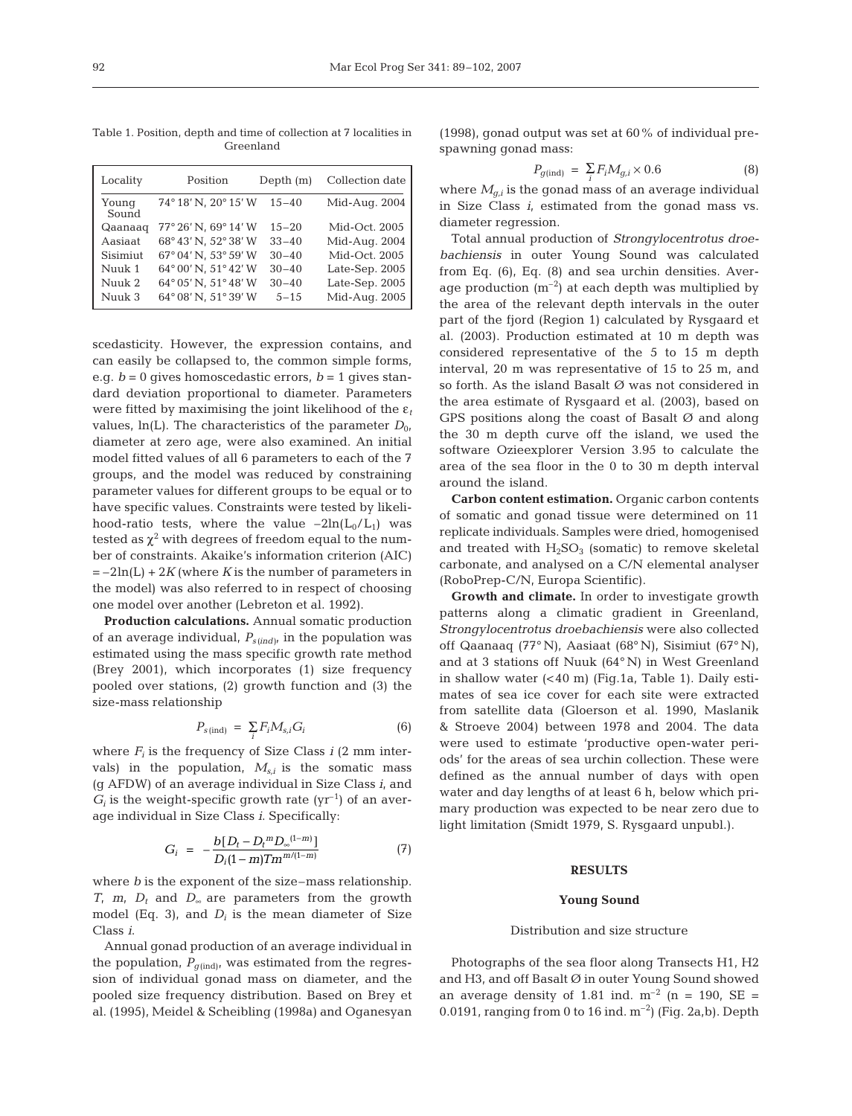Table 1. Position, depth and time of collection at 7 localities in Greenland

| Locality       | Position             | Depth $(m)$ | Collection date |
|----------------|----------------------|-------------|-----------------|
| Young<br>Sound | 74°18' N, 20°15' W   | $15 - 40$   | Mid-Aug. 2004   |
| Qaanaag        | 77° 26' N, 69° 14' W | $15 - 20$   | Mid-Oct. 2005   |
| Aasiaat        | 68°43' N. 52°38' W   | $33 - 40$   | Mid-Aug. 2004   |
| Sisimiut       | 67° 04' N, 53° 59' W | $30 - 40$   | Mid-Oct. 2005   |
| Nuuk 1         | 64°00' N. 51°42' W   | $30 - 40$   | Late-Sep. 2005  |
| Nuuk 2         | 64°05' N. 51°48' W   | $30 - 40$   | Late-Sep. 2005  |
| Nuuk 3         | 64° 08' N, 51° 39' W | $5 - 15$    | Mid-Aug. 2005   |

scedasticity. However, the expression contains, and can easily be collapsed to, the common simple forms, e.g.  $b = 0$  gives homoscedastic errors,  $b = 1$  gives standard deviation proportional to diameter. Parameters were fitted by maximising the joint likelihood of the ε*<sup>t</sup>* values,  $ln(L)$ . The characteristics of the parameter  $D_{0}$ , diameter at zero age, were also examined. An initial model fitted values of all 6 parameters to each of the 7 groups, and the model was reduced by constraining parameter values for different groups to be equal or to have specific values. Constraints were tested by likelihood-ratio tests, where the value  $-2\ln(L_0/L_1)$  was tested as  $\chi^2$  with degrees of freedom equal to the number of constraints. Akaike's information criterion (AIC)  $=-2\ln(L) + 2K$  (where *K* is the number of parameters in the model) was also referred to in respect of choosing one model over another (Lebreton et al. 1992).

**Production calculations.** Annual somatic production of an average individual, *Ps (ind)*, in the population was estimated using the mass specific growth rate method (Brey 2001), which incorporates (1) size frequency pooled over stations, (2) growth function and (3) the size-mass relationship

$$
P_{s(\text{ind})} = \sum_{i} F_i M_{s,i} G_i \tag{6}
$$

where  $F_i$  is the frequency of Size Class  $i$  (2 mm intervals) in the population,  $M_{s,i}$  is the somatic mass (g AFDW) of an average individual in Size Class *i*, and  $G_i$  is the weight-specific growth rate ( $yr^{-1}$ ) of an average individual in Size Class *i*. Specifically:

$$
G_i = -\frac{b[D_t - D_t{}^m D_{\infty}^{(1-m)}]}{D_i (1-m) T m^{m/(1-m)}}
$$
(7)

where *b* is the exponent of the size–mass relationship. *T*, *m*, *D*<sub>t</sub> and *D*∞ are parameters from the growth model (Eq. 3), and  $D_i$  is the mean diameter of Size Class *i*.

Annual gonad production of an average individual in the population,  $P_{q(\text{ind})}$ , was estimated from the regression of individual gonad mass on diameter, and the pooled size frequency distribution. Based on Brey et al. (1995), Meidel & Scheibling (1998a) and Oganesyan

(1998), gonad output was set at 60% of individual prespawning gonad mass:

$$
P_{g(\text{ind})} = \sum_{i} F_i M_{g,i} \times 0.6 \tag{8}
$$

where  $M_{g,i}$  is the gonad mass of an average individual in Size Class *i*, estimated from the gonad mass vs. diameter regression.

Total annual production of *Strongylocentrotus droebachiensis* in outer Young Sound was calculated from Eq. (6), Eq. (8) and sea urchin densities. Average production  $(m^{-2})$  at each depth was multiplied by the area of the relevant depth intervals in the outer part of the fjord (Region 1) calculated by Rysgaard et al. (2003). Production estimated at 10 m depth was considered representative of the 5 to 15 m depth interval, 20 m was representative of 15 to 25 m, and so forth. As the island Basalt Ø was not considered in the area estimate of Rysgaard et al. (2003), based on GPS positions along the coast of Basalt  $\varnothing$  and along the 30 m depth curve off the island, we used the software Ozieexplorer Version 3.95 to calculate the area of the sea floor in the 0 to 30 m depth interval around the island.

**Carbon content estimation.** Organic carbon contents of somatic and gonad tissue were determined on 11 replicate individuals. Samples were dried, homogenised and treated with  $H_2SO_3$  (somatic) to remove skeletal carbonate, and analysed on a C/N elemental analyser (RoboPrep-C/N, Europa Scientific).

**Growth and climate.** In order to investigate growth patterns along a climatic gradient in Greenland, *Strongylocentrotus droebachiensis* were also collected off Qaanaaq (77° N), Aasiaat (68° N), Sisimiut (67° N), and at 3 stations off Nuuk (64° N) in West Greenland in shallow water (< 40 m) (Fig.1a, Table 1). Daily estimates of sea ice cover for each site were extracted from satellite data (Gloerson et al. 1990, Maslanik & Stroeve 2004) between 1978 and 2004. The data were used to estimate 'productive open-water periods' for the areas of sea urchin collection. These were defined as the annual number of days with open water and day lengths of at least 6 h, below which primary production was expected to be near zero due to light limitation (Smidt 1979, S. Rysgaard unpubl.).

# **RESULTS**

#### **Young Sound**

# Distribution and size structure

Photographs of the sea floor along Transects H1, H2 and H3, and off Basalt Ø in outer Young Sound showed an average density of 1.81 ind.  $m^{-2}$  (n = 190, SE = 0.0191, ranging from 0 to 16 ind.  $m^{-2}$ ) (Fig. 2a,b). Depth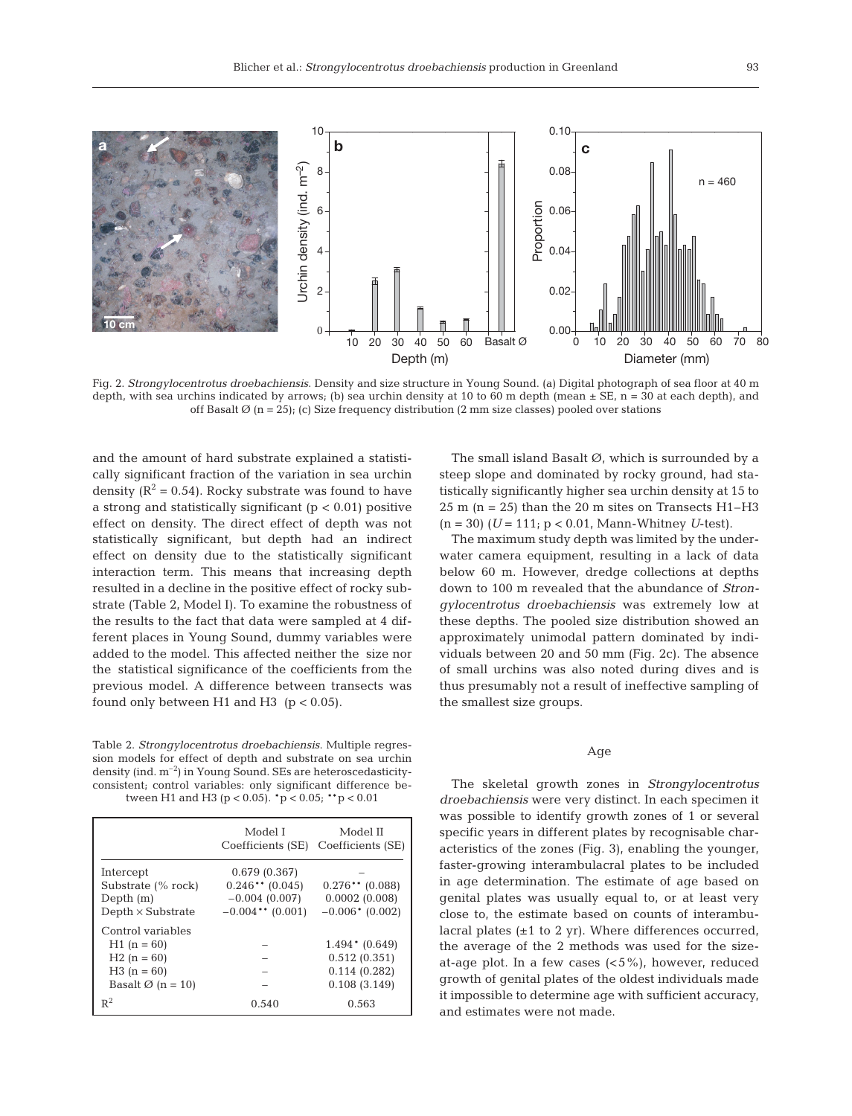

Fig. 2. *Strongylocentrotus droebachiensis*. Density and size structure in Young Sound. (a) Digital photograph of sea floor at 40 m depth, with sea urchins indicated by arrows; (b) sea urchin density at 10 to 60 m depth (mean  $\pm$  SE, n = 30 at each depth), and off Basalt  $\varnothing$  (n = 25); (c) Size frequency distribution (2 mm size classes) pooled over stations

and the amount of hard substrate explained a statistically significant fraction of the variation in sea urchin density ( $R^2$  = 0.54). Rocky substrate was found to have a strong and statistically significant  $(p < 0.01)$  positive effect on density. The direct effect of depth was not statistically significant, but depth had an indirect effect on density due to the statistically significant interaction term. This means that increasing depth resulted in a decline in the positive effect of rocky substrate (Table 2, Model I). To examine the robustness of the results to the fact that data were sampled at 4 different places in Young Sound, dummy variables were added to the model. This affected neither the size nor the statistical significance of the coefficients from the previous model. A difference between transects was found only between H1 and H3 ( $p < 0.05$ ).

Table 2. *Strongylocentrotus droebachiensis*. Multiple regression models for effect of depth and substrate on sea urchin density (ind.  $m^{-2}$ ) in Young Sound. SEs are heteroscedasticityconsistent; control variables: only significant difference between H1 and H3 ( $p < 0.05$ ).  $p < 0.05$ ;  $p > 0.01$ 

|                                                                                                    | Model I<br>Coefficients (SE)                                                | Model II<br>Coefficients (SE)                                   |
|----------------------------------------------------------------------------------------------------|-----------------------------------------------------------------------------|-----------------------------------------------------------------|
| Intercept<br>Substrate (% rock)<br>Depth $(m)$<br>$Depth \times Substrate$                         | 0.679(0.367)<br>$0.246**$ (0.045)<br>$-0.004(0.007)$<br>$-0.004$ ** (0.001) | $0.276**$ (0.088)<br>0.0002(0.008)<br>$-0.006$ * (0.002)        |
| Control variables<br>$H1(n = 60)$<br>$H2(n = 60)$<br>$H3(n = 60)$<br>Basalt $\varnothing$ (n = 10) |                                                                             | $1.494*(0.649)$<br>0.512(0.351)<br>0.114(0.282)<br>0.108(3.149) |
| $R^2$                                                                                              | 0.540                                                                       | 0.563                                                           |

The small island Basalt  $\varnothing$ , which is surrounded by a steep slope and dominated by rocky ground, had statistically significantly higher sea urchin density at 15 to  $25 \text{ m}$  (n = 25) than the 20 m sites on Transects H1-H3 (n = 30) (*U* = 111; p < 0.01, Mann-Whitney *U*-test).

The maximum study depth was limited by the underwater camera equipment, resulting in a lack of data below 60 m. However, dredge collections at depths down to 100 m revealed that the abundance of *Strongylocentrotus droebachiensis* was extremely low at these depths. The pooled size distribution showed an approximately unimodal pattern dominated by individuals between 20 and 50 mm (Fig. 2c). The absence of small urchins was also noted during dives and is thus presumably not a result of ineffective sampling of the smallest size groups.

# Age

The skeletal growth zones in *Strongylocentrotus droebachiensis* were very distinct. In each specimen it was possible to identify growth zones of 1 or several specific years in different plates by recognisable characteristics of the zones (Fig. 3), enabling the younger, faster-growing interambulacral plates to be included in age determination. The estimate of age based on genital plates was usually equal to, or at least very close to, the estimate based on counts of interambulacral plates (±1 to 2 yr). Where differences occurred, the average of the 2 methods was used for the sizeat-age plot. In a few cases  $(<5\%)$ , however, reduced growth of genital plates of the oldest individuals made it impossible to determine age with sufficient accuracy, and estimates were not made.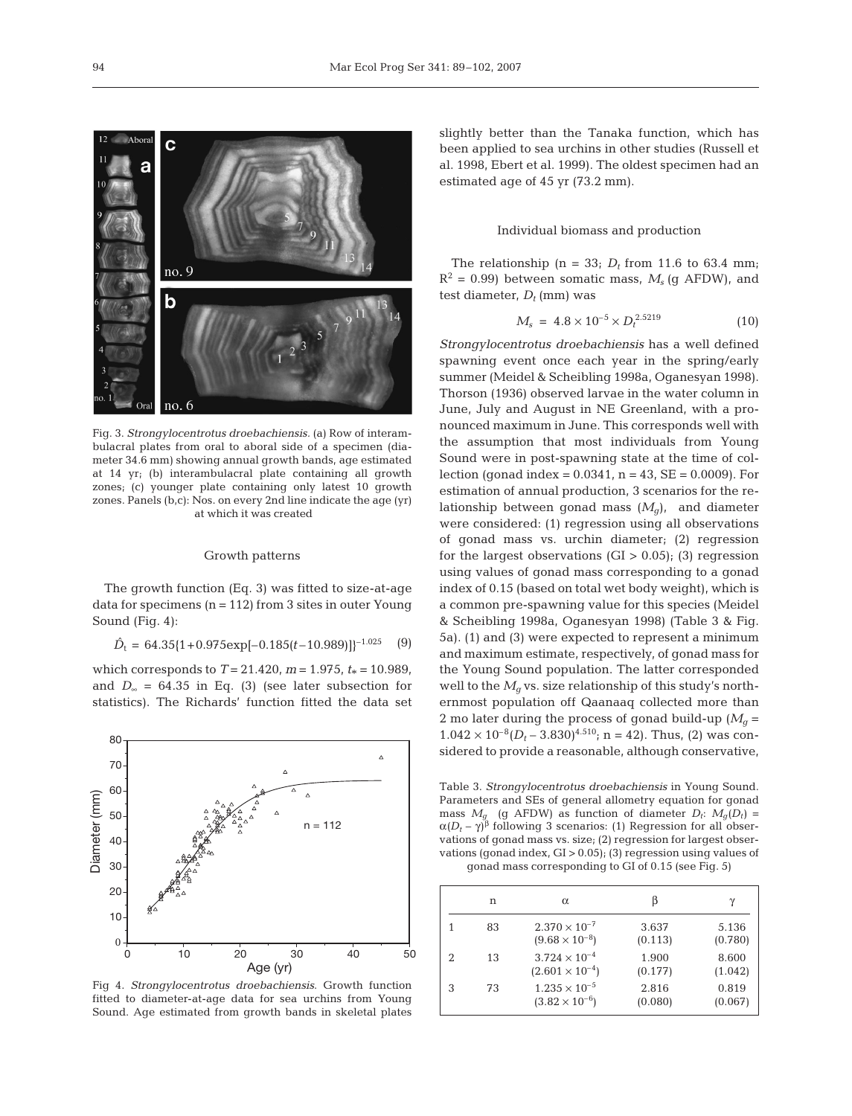

Fig. 3. *Strongylocentrotus droebachiensis.* (a) Row of interambulacral plates from oral to aboral side of a specimen (diameter 34.6 mm) showing annual growth bands, age estimated at 14 yr; (b) interambulacral plate containing all growth zones; (c) younger plate containing only latest 10 growth zones. Panels (b,c): Nos. on every 2nd line indicate the age (yr) at which it was created

# Growth patterns

The growth function (Eq. 3) was fitted to size-at-age data for specimens  $(n = 112)$  from 3 sites in outer Young Sound (Fig. 4):

 $\hat{D}_t = 64.35\{1+0.975\exp[-0.185(t-10.989)]\}^{-1.025}$  (9)

which corresponds to  $T = 21.420$ ,  $m = 1.975$ ,  $t_* = 10.989$ , and  $D_{\infty}$  = 64.35 in Eq. (3) (see later subsection for statistics). The Richards' function fitted the data set



Fig 4. *Strongylocentrotus droebachiensis*. Growth function fitted to diameter-at-age data for sea urchins from Young Sound. Age estimated from growth bands in skeletal plates

slightly better than the Tanaka function, which has been applied to sea urchins in other studies (Russell et al. 1998, Ebert et al. 1999). The oldest specimen had an estimated age of 45 yr (73.2 mm).

### Individual biomass and production

The relationship ( $n = 33$ ;  $D_t$  from 11.6 to 63.4 mm;  $R^2$  = 0.99) between somatic mass,  $M_s$  (q AFDW), and test diameter,  $D_t$  (mm) was

$$
M_s = 4.8 \times 10^{-5} \times D_t^{2.5219} \tag{10}
$$

*Strongylocentrotus droebachiensis* has a well defined spawning event once each year in the spring/early summer (Meidel & Scheibling 1998a, Oganesyan 1998). Thorson (1936) observed larvae in the water column in June, July and August in NE Greenland, with a pronounced maximum in June. This corresponds well with the assumption that most individuals from Young Sound were in post-spawning state at the time of collection (gonad index =  $0.0341$ , n =  $43$ , SE =  $0.0009$ ). For estimation of annual production, 3 scenarios for the relationship between gonad mass  $(M_q)$ , and diameter were considered: (1) regression using all observations of gonad mass vs. urchin diameter; (2) regression for the largest observations  $(GI > 0.05)$ ; (3) regression using values of gonad mass corresponding to a gonad index of 0.15 (based on total wet body weight), which is a common pre-spawning value for this species (Meidel & Scheibling 1998a, Oganesyan 1998) (Table 3 & Fig. 5a). (1) and (3) were expected to represent a minimum and maximum estimate, respectively, of gonad mass for the Young Sound population. The latter corresponded well to the  $M_q$  vs. size relationship of this study's northernmost population off Qaanaaq collected more than 2 mo later during the process of gonad build-up  $(M<sub>a</sub> =$  $1.042 \times 10^{-8} (D_t - 3.830)^{4.510}$ ; n = 42). Thus, (2) was considered to provide a reasonable, although conservative,

Table 3. *Strongylocentrotus droebachiensis* in Young Sound. Parameters and SEs of general allometry equation for gonad mass  $M_a$  (g AFDW) as function of diameter  $D_t$ :  $M_a(D_t)$  =  $\alpha(D_t - \gamma)^{\beta}$  following 3 scenarios: (1) Regression for all observations of gonad mass vs. size; (2) regression for largest observations (gonad index,  $GI > 0.05$ ); (3) regression using values of gonad mass corresponding to GI of 0.15 (see Fig. 5)

|   | n  | $\alpha$                                           | ß                | $\gamma$         |
|---|----|----------------------------------------------------|------------------|------------------|
|   | 83 | $2.370 \times 10^{-7}$<br>$(9.68 \times 10^{-8})$  | 3.637<br>(0.113) | 5.136<br>(0.780) |
|   | 13 | $3.724 \times 10^{-4}$<br>$(2.601 \times 10^{-4})$ | 1.900<br>(0.177) | 8.600<br>(1.042) |
| 3 | 73 | $1.235 \times 10^{-5}$<br>$(3.82 \times 10^{-6})$  | 2.816<br>(0.080) | 0.819<br>(0.067) |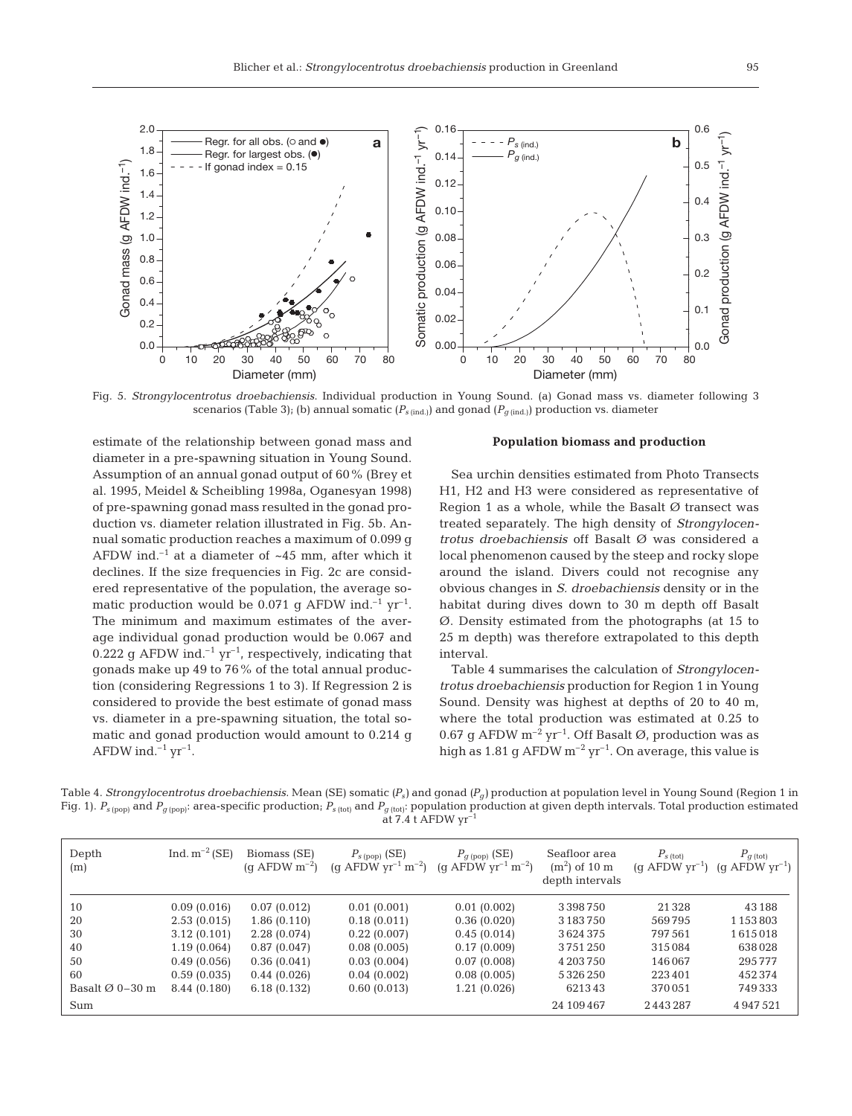

Fig. 5. *Strongylocentrotus droebachiensis*. Individual production in Young Sound. (a) Gonad mass vs. diameter following 3 scenarios (Table 3); (b) annual somatic ( $P_{s \text{ (ind.)}}$ ) and gonad ( $P_{q \text{ (ind.)}}$ ) production vs. diameter

estimate of the relationship between gonad mass and diameter in a pre-spawning situation in Young Sound. Assumption of an annual gonad output of 60% (Brey et al. 1995, Meidel & Scheibling 1998a, Oganesyan 1998) of pre-spawning gonad mass resulted in the gonad production vs. diameter relation illustrated in Fig. 5b. Annual somatic production reaches a maximum of 0.099 g AFDW ind.<sup>-1</sup> at a diameter of  $~45$  mm, after which it declines. If the size frequencies in Fig. 2c are considered representative of the population, the average somatic production would be 0.071 q AFDW ind.<sup>-1</sup> yr<sup>-1</sup>. The minimum and maximum estimates of the average individual gonad production would be 0.067 and 0.222 g AFDW ind.<sup>-1</sup> yr<sup>-1</sup>, respectively, indicating that gonads make up 49 to 76% of the total annual production (considering Regressions 1 to 3). If Regression 2 is considered to provide the best estimate of gonad mass vs. diameter in a pre-spawning situation, the total somatic and gonad production would amount to 0.214 g AFDW ind.<sup> $-1$ </sup> yr<sup> $-1$ </sup>.

# **Population biomass and production**

Sea urchin densities estimated from Photo Transects H1, H2 and H3 were considered as representative of Region 1 as a whole, while the Basalt  $\varnothing$  transect was treated separately. The high density of *Strongylocentrotus droebachiensis* off Basalt Ø was considered a local phenomenon caused by the steep and rocky slope around the island. Divers could not recognise any obvious changes in *S. droebachiensis* density or in the habitat during dives down to 30 m depth off Basalt Ø. Density estimated from the photographs (at 15 to 25 m depth) was therefore extrapolated to this depth interval.

Table 4 summarises the calculation of *Strongylocentrotus droebachiensis* production for Region 1 in Young Sound. Density was highest at depths of 20 to 40 m, where the total production was estimated at 0.25 to 0.67 g AFDW  $m^{-2}$  yr<sup>-1</sup>. Off Basalt  $\varnothing$ , production was as high as  $1.81$  g AFDW  $m^{-2}$  yr<sup>-1</sup>. On average, this value is

Table 4. *Strongylocentrotus droebachiensis*. Mean (SE) somatic *(Ps)* and gonad *(Pg)* production at population level in Young Sound (Region 1 in Fig. 1).  $P_{s~(pop)}$  and  $P_{g~(pop)}$ : area-specific production;  $P_{s~(tot)}$  and  $P_{g~(tot)}$ : population production at given depth intervals. Total production estimated at  $7.4$  t AFDW  $yr^-$ 

| Depth<br>(m)                | Ind. $m^{-2}$ (SE) | Biomass (SE)<br>$(q$ AFDW $m^{-2}$ ) | $P_{s\,\text{(pop)}}\,\text{(SE)}$<br>(g AFDW $\rm yr^{-1} \, m^{-2}$ ) | $P_{g\,({\rm pop})}~({\rm SE})$<br>(q AFDW $yr^{-1}$ m <sup>-2</sup> ) | Seafloor area<br>$(m2)$ of 10 m<br>depth intervals | $P_{s \text{ (tot)}}$<br>$(q$ AFDW $yr^{-1}$ ) | $P_{q\text{ (tot)}}$<br>(q AFDW $yr^{-1}$ ) |
|-----------------------------|--------------------|--------------------------------------|-------------------------------------------------------------------------|------------------------------------------------------------------------|----------------------------------------------------|------------------------------------------------|---------------------------------------------|
| 10                          | 0.09(0.016)        | 0.07(0.012)                          | 0.01(0.001)                                                             | 0.01(0.002)                                                            | 3 3 9 8 7 5 0                                      | 21328                                          | 43188                                       |
| 20                          | 2.53(0.015)        | 1.86(0.110)                          | 0.18(0.011)                                                             | 0.36(0.020)                                                            | 3 183 750                                          | 569795                                         | 1 1 5 3 8 0 3                               |
| 30                          | 3.12(0.101)        | 2.28(0.074)                          | 0.22(0.007)                                                             | 0.45(0.014)                                                            | 3624375                                            | 797561                                         | 1615018                                     |
| 40                          | 1.19(0.064)        | 0.87(0.047)                          | 0.08(0.005)                                                             | 0.17(0.009)                                                            | 3751250                                            | 315084                                         | 638028                                      |
| 50                          | 0.49(0.056)        | 0.36(0.041)                          | 0.03(0.004)                                                             | 0.07(0.008)                                                            | 4 203 750                                          | 146067                                         | 295777                                      |
| 60                          | 0.59(0.035)        | 0.44(0.026)                          | 0.04(0.002)                                                             | 0.08(0.005)                                                            | 5326250                                            | 223401                                         | 452374                                      |
| Basalt $\varnothing$ 0-30 m | 8.44 (0.180)       | 6.18(0.132)                          | 0.60(0.013)                                                             | 1.21 (0.026)                                                           | 621343                                             | 370051                                         | 749333                                      |
| Sum                         |                    |                                      |                                                                         |                                                                        | 24 109 467                                         | 2443287                                        | 4947521                                     |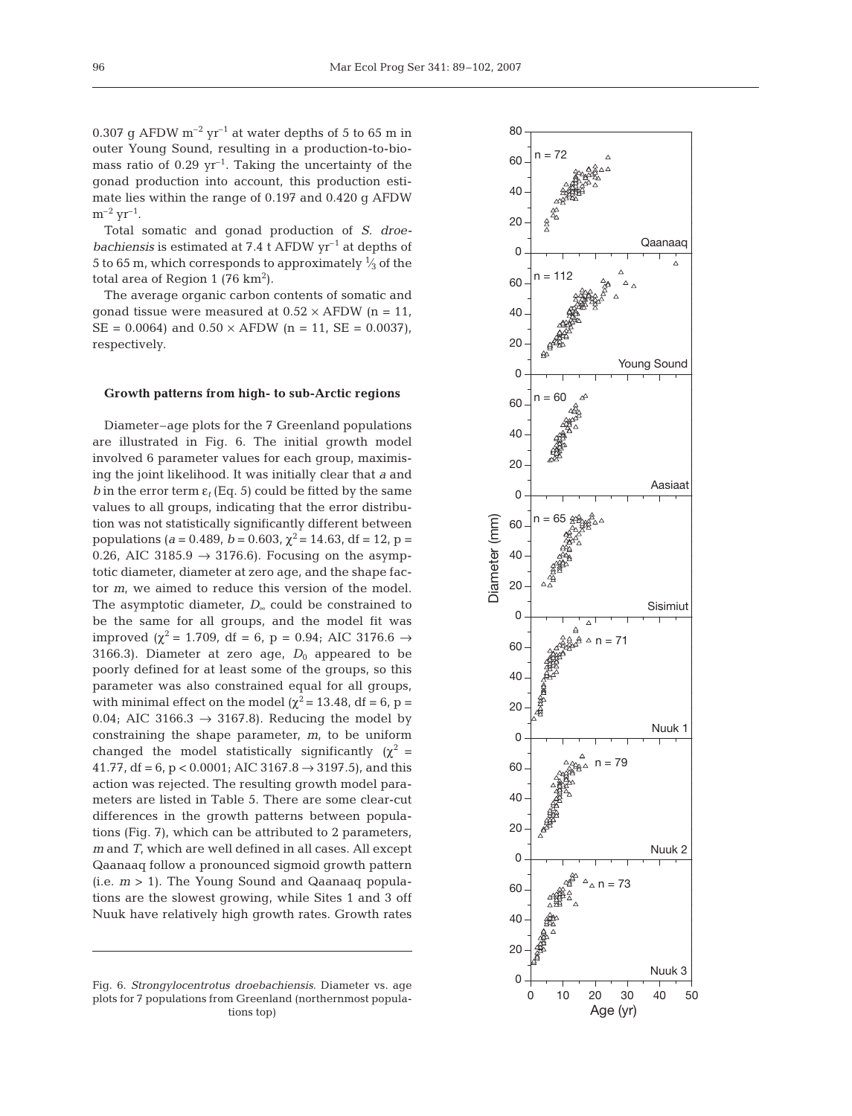0.307 g AFDW  $m^{-2}$  yr<sup>-1</sup> at water depths of 5 to 65 m in outer Young Sound, resulting in a production-to-biomass ratio of  $0.29 \text{ yr}^{-1}$ . Taking the uncertainty of the gonad production into account, this production estimate lies within the range of 0.197 and 0.420 g AFDW  $m^{-2}$   $yr^{-1}$ .

Total somatic and gonad production of *S. droebachiensis* is estimated at 7.4 t AFDW  $yr^{-1}$  at depths of 5 to 65 m, which corresponds to approximately  $\frac{1}{3}$  of the total area of Region 1 (76  $km^2$ ).

The average organic carbon contents of somatic and gonad tissue were measured at  $0.52 \times$  AFDW (n = 11,  $SE = 0.0064$  and  $0.50 \times AFDW$  (n = 11,  $SE = 0.0037$ ), respectively.

## **Growth patterns from high- to sub-Arctic regions**

Diameter–age plots for the 7 Greenland populations are illustrated in Fig. 6. The initial growth model involved 6 parameter values for each group, maximising the joint likelihood. It was initially clear that *a* and *b* in the error term  $\varepsilon_t$  (Eq. 5) could be fitted by the same values to all groups, indicating that the error distribution was not statistically significantly different between populations ( $a = 0.489$ ,  $b = 0.603$ ,  $\chi^2 = 14.63$ , df = 12, p = 0.26, AIC 3185.9  $\rightarrow$  3176.6). Focusing on the asymptotic diameter, diameter at zero age, and the shape factor *m*, we aimed to reduce this version of the model. The asymptotic diameter, *D*<sup>∞</sup> could be constrained to be the same for all groups, and the model fit was improved ( $\chi^2$  = 1.709, df = 6, p = 0.94; AIC 3176.6  $\rightarrow$ 3166.3). Diameter at zero age,  $D_0$  appeared to be poorly defined for at least some of the groups, so this parameter was also constrained equal for all groups, with minimal effect on the model ( $\chi^2$  = 13.48, df = 6, p = 0.04; AIC 3166.3  $\rightarrow$  3167.8). Reducing the model by constraining the shape parameter, *m*, to be uniform changed the model statistically significantly  $(\chi^2 =$ 41.77, df = 6, p < 0.0001; AIC 3167.8  $\rightarrow$  3197.5), and this action was rejected. The resulting growth model parameters are listed in Table 5. There are some clear-cut differences in the growth patterns between populations (Fig. 7), which can be attributed to 2 parameters, *m* and *T*, which are well defined in all cases. All except Qaanaaq follow a pronounced sigmoid growth pattern (i.e. *m* > 1). The Young Sound and Qaanaaq populations are the slowest growing, while Sites 1 and 3 off Nuuk have relatively high growth rates. Growth rates

Fig. 6. *Strongylocentrotus droebachiensis*. Diameter vs. age plots for 7 populations from Greenland (northernmost populations top)

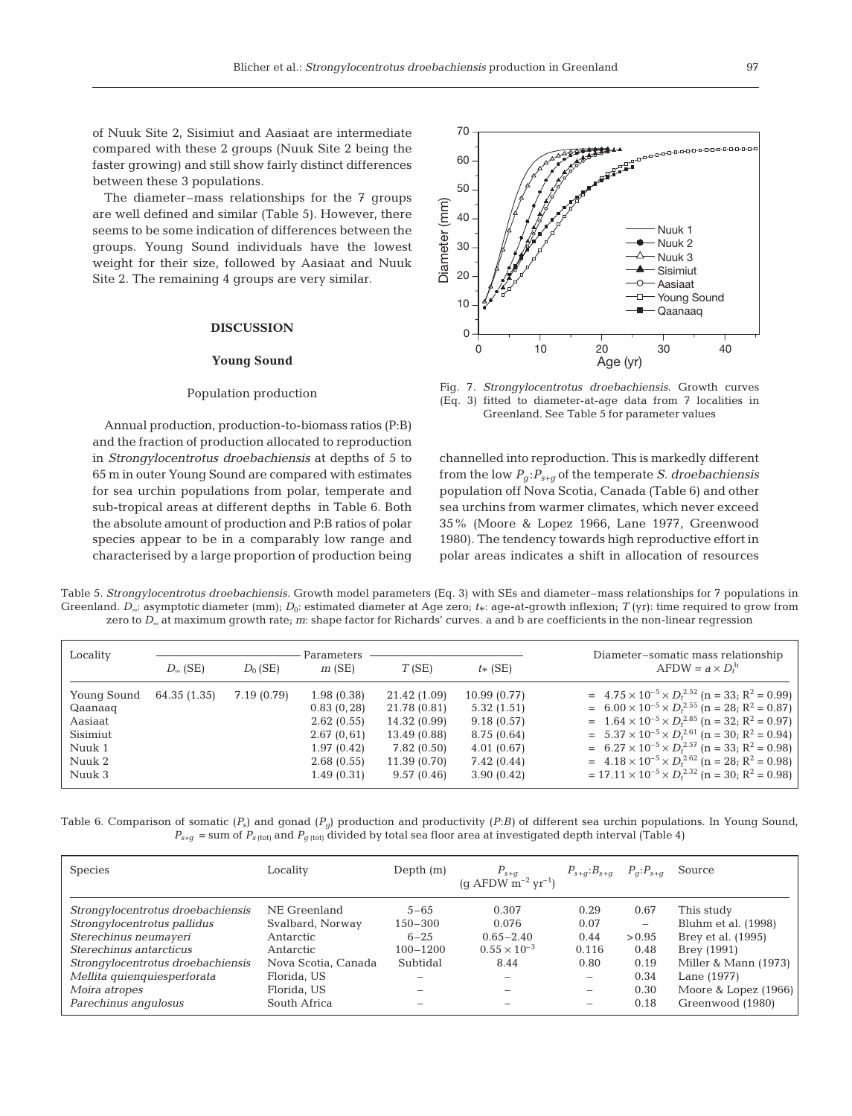of Nuuk Site 2, Sisimiut and Aasiaat are intermediate compared with these 2 groups (Nuuk Site 2 being the faster growing) and still show fairly distinct differences between these 3 populations.

The diameter–mass relationships for the 7 groups are well defined and similar (Table 5). However, there seems to be some indication of differences between the groups. Young Sound individuals have the lowest weight for their size, followed by Aasiaat and Nuuk Site 2. The remaining 4 groups are very similar.

# **DISCUSSION**

#### **Young Sound**

### Population production

Annual production, production-to-biomass ratios (P:B) and the fraction of production allocated to reproduction in *Strongylocentrotus droebachiensis* at depths of 5 to 65 m in outer Young Sound are compared with estimates for sea urchin populations from polar, temperate and sub-tropical areas at different depths in Table 6. Both the absolute amount of production and P:B ratios of polar species appear to be in a comparably low range and characterised by a large proportion of production being



Fig. 7. *Strongylocentrotus droebachiensis*. Growth curves (Eq. 3) fitted to diameter-at-age data from 7 localities in Greenland. See Table 5 for parameter values

channelled into reproduction. This is markedly different from the low  $P_q$ :  $P_{s+q}$  of the temperate *S. droebachiensis* population off Nova Scotia, Canada (Table 6) and other sea urchins from warmer climates, which never exceed 35% (Moore & Lopez 1966, Lane 1977, Greenwood 1980). The tendency towards high reproductive effort in polar areas indicates a shift in allocation of resources

Table 5. *Strongylocentrotus droebachiensis*. Growth model parameters (Eq. 3) with SEs and diameter–mass relationships for 7 populations in Greenland. *D*<sub>∞</sub>: asymptotic diameter (mm); *D*<sub>0</sub>: estimated diameter at Age zero; *t*\*: age-at-growth inflexion; *T* (yr): time required to grow from zero to *D*<sup>∞</sup> at maximum growth rate; *m*: shape factor for Richards' curves. a and b are coefficients in the non-linear regression

| Locality                                      |                   |            | Parameters                                            |                                                              |                                                       | Diameter-somatic mass relationship                                                                                                                                                                                                                                                                               |
|-----------------------------------------------|-------------------|------------|-------------------------------------------------------|--------------------------------------------------------------|-------------------------------------------------------|------------------------------------------------------------------------------------------------------------------------------------------------------------------------------------------------------------------------------------------------------------------------------------------------------------------|
|                                               | $D_{\infty}$ (SE) | $D_0$ (SE) | m(SE)                                                 | T(SE)                                                        | $t_{*}$ (SE)                                          | $AFDW = a \times D_t^b$                                                                                                                                                                                                                                                                                          |
| Young Sound<br>Qaanaaq<br>Aasiaat<br>Sisimiut | 64.35 (1.35)      | 7.19(0.79) | 1.98(0.38)<br>0.83(0, 28)<br>2.62(0.55)<br>2.67(0.61) | 21.42 (1.09)<br>21.78 (0.81)<br>14.32 (0.99)<br>13.49 (0.88) | 10.99(0.77)<br>5.32(1.51)<br>9.18(0.57)<br>8.75(0.64) | $= 4.75 \times 10^{-5} \times D_t^{2.52}$ (n = 33; R <sup>2</sup> = 0.99)<br>$= 6.00 \times 10^{-5} \times D_t^{2.55}$ (n = 28; R <sup>2</sup> = 0.87)<br>= $1.64 \times 10^{-5} \times D_t^{2.85}$ (n = 32; R <sup>2</sup> = 0.97)<br>$= 5.37 \times 10^{-5} \times D_t^{2.61}$ (n = 30; R <sup>2</sup> = 0.94) |
| Nuuk 1<br>Nuuk 2<br>Nuuk 3                    |                   |            | 1.97(0.42)<br>2.68(0.55)<br>1.49(0.31)                | 7.82(0.50)<br>11.39 (0.70)<br>9.57(0.46)                     | 4.01(0.67)<br>7.42(0.44)<br>3.90(0.42)                | = $6.27 \times 10^{-5} \times D_t^{2.57}$ (n = 33; R <sup>2</sup> = 0.98)<br>= $4.18 \times 10^{-5} \times D_t^{2.62}$ (n = 28; R <sup>2</sup> = 0.98)<br>$= 17.11 \times 10^{-5} \times D_t^{2.32}$ (n = 30; R <sup>2</sup> = 0.98)                                                                             |

Table 6. Comparison of somatic  $(P<sub>s</sub>)$  and gonad  $(P<sub>g</sub>)$  production and productivity  $(P:B)$  of different sea urchin populations. In Young Sound,  $P_{s+q}$  = sum of  $P_{s}$  (tot) and  $P_{q}$  (tot) divided by total sea floor area at investigated depth interval (Table 4)

| <b>Species</b>                    | Locality            | Depth $(m)$  | $P_{s+g}$<br>(g AFDW m <sup>-2</sup> yr <sup>-1</sup> ) | $P_{s+q}:B_{s+q}$ $P_q: P_{s+q}$ |        | Source               |
|-----------------------------------|---------------------|--------------|---------------------------------------------------------|----------------------------------|--------|----------------------|
| Strongylocentrotus droebachiensis | NE Greenland        | $5 - 65$     | 0.307                                                   | 0.29                             | 0.67   | This study           |
| Strongylocentrotus pallidus       | Svalbard, Norway    | $150 - 300$  | 0.076                                                   | 0.07                             | -      | Bluhm et al. (1998)  |
| Sterechinus neumayeri             | Antarctic           | $6 - 25$     | $0.65 - 2.40$                                           | 0.44                             | > 0.95 | Brey et al. (1995)   |
| Sterechinus antarcticus           | Antarctic           | $100 - 1200$ | $0.55 \times 10^{-3}$                                   | 0.116                            | 0.48   | Brey (1991)          |
| Strongylocentrotus droebachiensis | Nova Scotia, Canada | Subtidal     | 8.44                                                    | 0.80                             | 0.19   | Miller & Mann (1973) |
| Mellita quienquiesperforata       | Florida, US         | $\equiv$     | -                                                       | $\overline{\phantom{0}}$         | 0.34   | Lane (1977)          |
| Moira atropes                     | Florida, US         | -            | $\overline{\phantom{a}}$                                | -                                | 0.30   | Moore & Lopez (1966) |
| Parechinus angulosus              | South Africa        |              |                                                         |                                  | 0.18   | Greenwood (1980)     |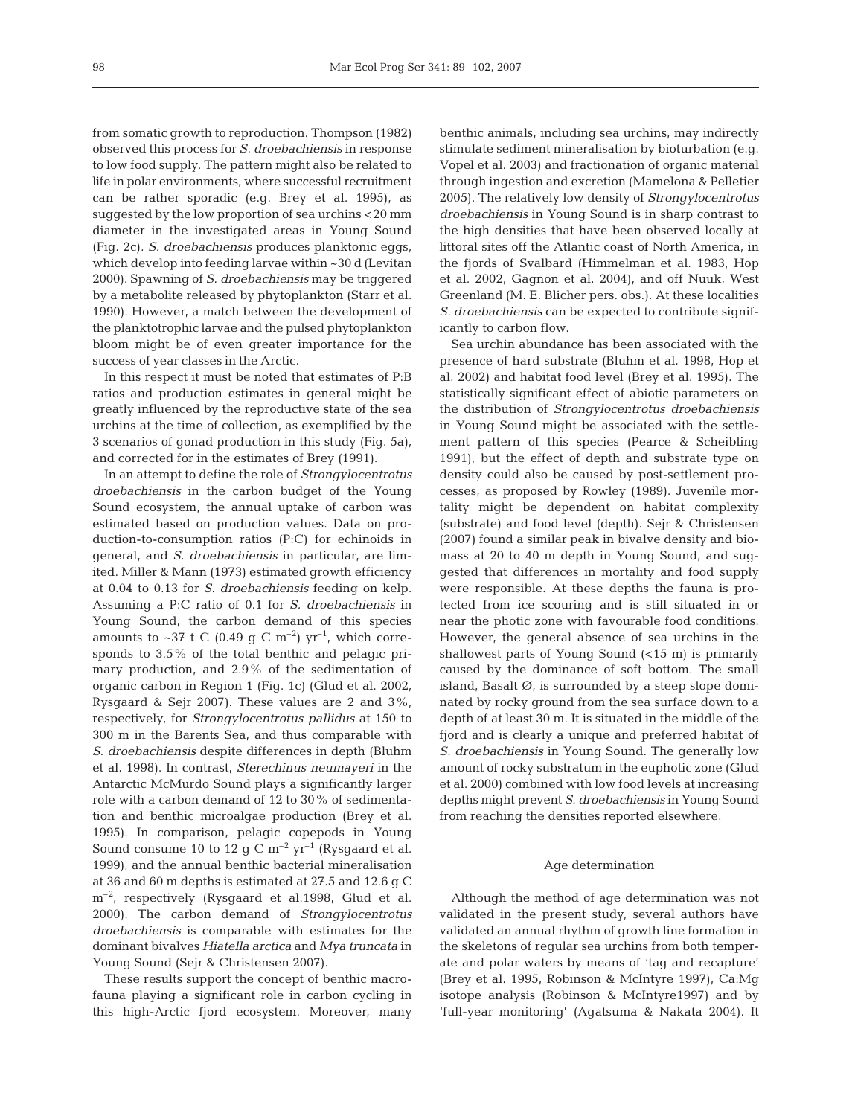from somatic growth to reproduction. Thompson (1982) observed this process for *S. droebachiensis* in response to low food supply. The pattern might also be related to life in polar environments, where successful recruitment can be rather sporadic (e.g. Brey et al. 1995), as suggested by the low proportion of sea urchins <20 mm diameter in the investigated areas in Young Sound (Fig. 2c). *S. droebachiensis* produces planktonic eggs, which develop into feeding larvae within ~30 d (Levitan 2000). Spawning of *S. droebachiensis* may be triggered by a metabolite released by phytoplankton (Starr et al. 1990). However, a match between the development of the planktotrophic larvae and the pulsed phytoplankton bloom might be of even greater importance for the success of year classes in the Arctic.

In this respect it must be noted that estimates of P:B ratios and production estimates in general might be greatly influenced by the reproductive state of the sea urchins at the time of collection, as exemplified by the 3 scenarios of gonad production in this study (Fig. 5a), and corrected for in the estimates of Brey (1991).

In an attempt to define the role of *Strongylocentrotus droebachiensis* in the carbon budget of the Young Sound ecosystem, the annual uptake of carbon was estimated based on production values. Data on production-to-consumption ratios (P:C) for echinoids in general, and *S. droebachiensis* in particular, are limited. Miller & Mann (1973) estimated growth efficiency at 0.04 to 0.13 for *S. droebachiensis* feeding on kelp. Assuming a P:C ratio of 0.1 for *S. droebachiensis* in Young Sound, the carbon demand of this species amounts to ~37 t C (0.49 g C m<sup>-2</sup>) yr<sup>-1</sup>, which corresponds to 3.5% of the total benthic and pelagic primary production, and 2.9% of the sedimentation of organic carbon in Region 1 (Fig. 1c) (Glud et al. 2002, Rysgaard & Sejr 2007). These values are 2 and 3%, respectively, for *Strongylocentrotus pallidus* at 150 to 300 m in the Barents Sea, and thus comparable with *S. droebachiensis* despite differences in depth (Bluhm et al. 1998). In contrast, *Sterechinus neumayeri* in the Antarctic McMurdo Sound plays a significantly larger role with a carbon demand of 12 to 30% of sedimentation and benthic microalgae production (Brey et al. 1995). In comparison, pelagic copepods in Young Sound consume 10 to 12 g C  $\rm m^{-2}$  yr<sup>-1</sup> (Rysgaard et al. 1999), and the annual benthic bacterial mineralisation at 36 and 60 m depths is estimated at 27.5 and 12.6 g C m<sup>-2</sup>, respectively (Rysgaard et al.1998, Glud et al. 2000). The carbon demand of *Strongylocentrotus droebachiensis* is comparable with estimates for the dominant bivalves *Hiatella arctica* and *Mya truncata* in Young Sound (Sejr & Christensen 2007).

These results support the concept of benthic macrofauna playing a significant role in carbon cycling in this high-Arctic fjord ecosystem. Moreover, many benthic animals, including sea urchins, may indirectly stimulate sediment mineralisation by bioturbation (e.g. Vopel et al. 2003) and fractionation of organic material through ingestion and excretion (Mamelona & Pelletier 2005). The relatively low density of *Strongylocentrotus droebachiensis* in Young Sound is in sharp contrast to the high densities that have been observed locally at littoral sites off the Atlantic coast of North America, in the fjords of Svalbard (Himmelman et al. 1983, Hop et al. 2002, Gagnon et al. 2004), and off Nuuk, West Greenland (M. E. Blicher pers. obs.). At these localities *S. droebachiensis* can be expected to contribute significantly to carbon flow.

Sea urchin abundance has been associated with the presence of hard substrate (Bluhm et al. 1998, Hop et al. 2002) and habitat food level (Brey et al. 1995). The statistically significant effect of abiotic parameters on the distribution of *Strongylocentrotus droebachiensis* in Young Sound might be associated with the settlement pattern of this species (Pearce & Scheibling 1991), but the effect of depth and substrate type on density could also be caused by post-settlement processes, as proposed by Rowley (1989). Juvenile mortality might be dependent on habitat complexity (substrate) and food level (depth). Sejr & Christensen (2007) found a similar peak in bivalve density and biomass at 20 to 40 m depth in Young Sound, and suggested that differences in mortality and food supply were responsible. At these depths the fauna is protected from ice scouring and is still situated in or near the photic zone with favourable food conditions. However, the general absence of sea urchins in the shallowest parts of Young Sound (<15 m) is primarily caused by the dominance of soft bottom. The small island, Basalt  $\emptyset$ , is surrounded by a steep slope dominated by rocky ground from the sea surface down to a depth of at least 30 m. It is situated in the middle of the fjord and is clearly a unique and preferred habitat of *S. droebachiensis* in Young Sound. The generally low amount of rocky substratum in the euphotic zone (Glud et al. 2000) combined with low food levels at increasing depths might prevent *S. droebachiensis* in Young Sound from reaching the densities reported elsewhere.

## Age determination

Although the method of age determination was not validated in the present study, several authors have validated an annual rhythm of growth line formation in the skeletons of regular sea urchins from both temperate and polar waters by means of 'tag and recapture' (Brey et al. 1995, Robinson & McIntyre 1997), Ca:Mg isotope analysis (Robinson & McIntyre1997) and by 'full-year monitoring' (Agatsuma & Nakata 2004). It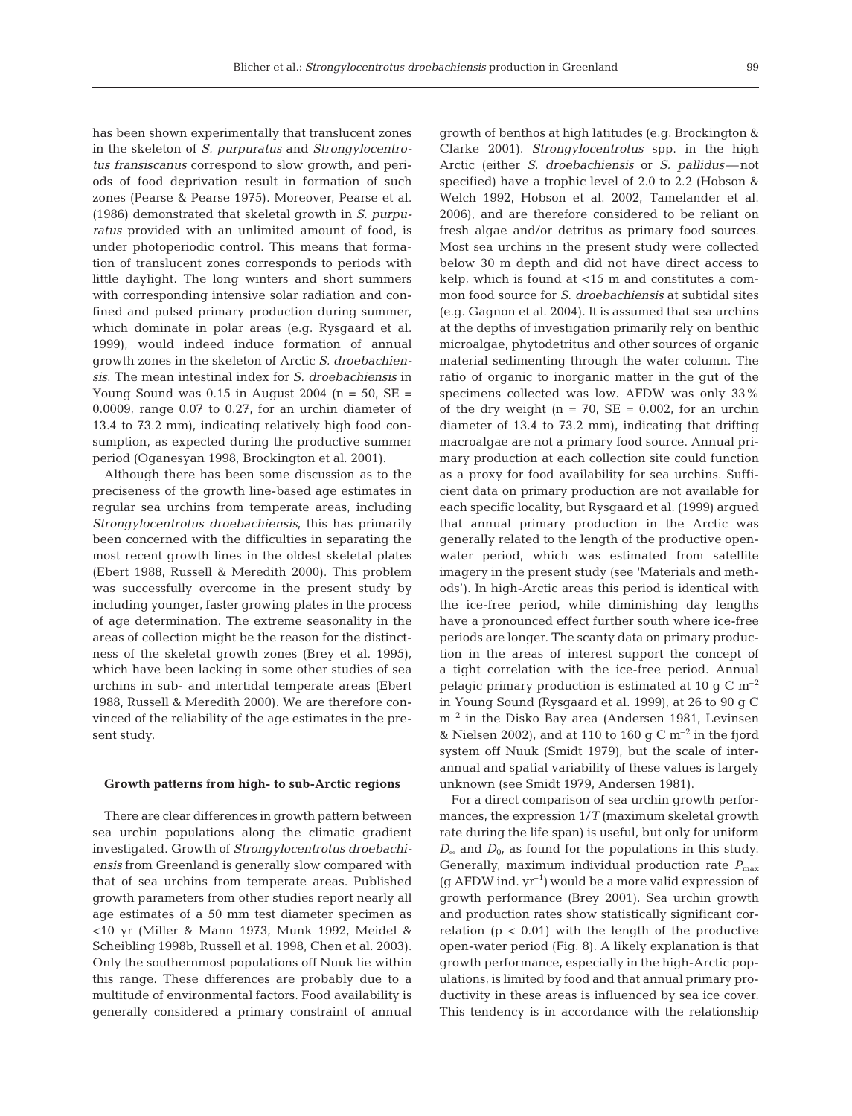has been shown experimentally that translucent zones in the skeleton of *S. purpuratus* and *Strongylocentrotus fransiscanus* correspond to slow growth, and periods of food deprivation result in formation of such zones (Pearse & Pearse 1975). Moreover, Pearse et al. (1986) demonstrated that skeletal growth in *S. purpuratus* provided with an unlimited amount of food, is under photoperiodic control. This means that formation of translucent zones corresponds to periods with little daylight. The long winters and short summers with corresponding intensive solar radiation and confined and pulsed primary production during summer, which dominate in polar areas (e.g. Rysgaard et al. 1999), would indeed induce formation of annual growth zones in the skeleton of Arctic *S. droebachiensis*. The mean intestinal index for *S. droebachiensis* in Young Sound was  $0.15$  in August 2004 (n = 50, SE = 0.0009, range 0.07 to 0.27, for an urchin diameter of 13.4 to 73.2 mm), indicating relatively high food con-

Although there has been some discussion as to the preciseness of the growth line-based age estimates in regular sea urchins from temperate areas, including *Strongylocentrotus droebachiensis*, this has primarily been concerned with the difficulties in separating the most recent growth lines in the oldest skeletal plates (Ebert 1988, Russell & Meredith 2000). This problem was successfully overcome in the present study by including younger, faster growing plates in the process of age determination. The extreme seasonality in the areas of collection might be the reason for the distinctness of the skeletal growth zones (Brey et al. 1995), which have been lacking in some other studies of sea urchins in sub- and intertidal temperate areas (Ebert 1988, Russell & Meredith 2000). We are therefore convinced of the reliability of the age estimates in the present study.

sumption, as expected during the productive summer period (Oganesyan 1998, Brockington et al. 2001).

# **Growth patterns from high- to sub-Arctic regions**

There are clear differences in growth pattern between sea urchin populations along the climatic gradient investigated. Growth of *Strongylocentrotus droebachiensis* from Greenland is generally slow compared with that of sea urchins from temperate areas. Published growth parameters from other studies report nearly all age estimates of a 50 mm test diameter specimen as <10 yr (Miller & Mann 1973, Munk 1992, Meidel & Scheibling 1998b, Russell et al. 1998, Chen et al. 2003). Only the southernmost populations off Nuuk lie within this range. These differences are probably due to a multitude of environmental factors. Food availability is generally considered a primary constraint of annual

growth of benthos at high latitudes (e.g. Brockington & Clarke 2001). *Strongylocentrotus* spp. in the high Arctic (either *S. droebachiensis* or *S. pallidus*—not specified) have a trophic level of 2.0 to 2.2 (Hobson & Welch 1992, Hobson et al. 2002, Tamelander et al. 2006), and are therefore considered to be reliant on fresh algae and/or detritus as primary food sources. Most sea urchins in the present study were collected below 30 m depth and did not have direct access to kelp, which is found at <15 m and constitutes a common food source for *S. droebachiensis* at subtidal sites (e.g. Gagnon et al. 2004). It is assumed that sea urchins at the depths of investigation primarily rely on benthic microalgae, phytodetritus and other sources of organic material sedimenting through the water column. The ratio of organic to inorganic matter in the gut of the specimens collected was low. AFDW was only 33% of the dry weight ( $n = 70$ ,  $SE = 0.002$ , for an urchin diameter of 13.4 to 73.2 mm), indicating that drifting macroalgae are not a primary food source. Annual primary production at each collection site could function as a proxy for food availability for sea urchins. Sufficient data on primary production are not available for each specific locality, but Rysgaard et al. (1999) argued that annual primary production in the Arctic was generally related to the length of the productive openwater period, which was estimated from satellite imagery in the present study (see 'Materials and methods'). In high-Arctic areas this period is identical with the ice-free period, while diminishing day lengths have a pronounced effect further south where ice-free periods are longer. The scanty data on primary production in the areas of interest support the concept of a tight correlation with the ice-free period. Annual pelagic primary production is estimated at 10 g C  $m^{-2}$ in Young Sound (Rysgaard et al. 1999), at 26 to 90 g C  $m^{-2}$  in the Disko Bay area (Andersen 1981, Levinsen & Nielsen 2002), and at 110 to 160 g C  $\mathrm{m}^{-2}$  in the fjord system off Nuuk (Smidt 1979), but the scale of interannual and spatial variability of these values is largely unknown (see Smidt 1979, Andersen 1981).

For a direct comparison of sea urchin growth performances, the expression 1/*T* (maximum skeletal growth rate during the life span) is useful, but only for uniform  $D_{\infty}$  and  $D_{0}$ , as found for the populations in this study. Generally, maximum individual production rate  $P_{\text{max}}$  $(q AFDW$  ind.  $yr^{-1}$ ) would be a more valid expression of growth performance (Brey 2001). Sea urchin growth and production rates show statistically significant correlation  $(p < 0.01)$  with the length of the productive open-water period (Fig. 8). A likely explanation is that growth performance, especially in the high-Arctic populations, is limited by food and that annual primary productivity in these areas is influenced by sea ice cover. This tendency is in accordance with the relationship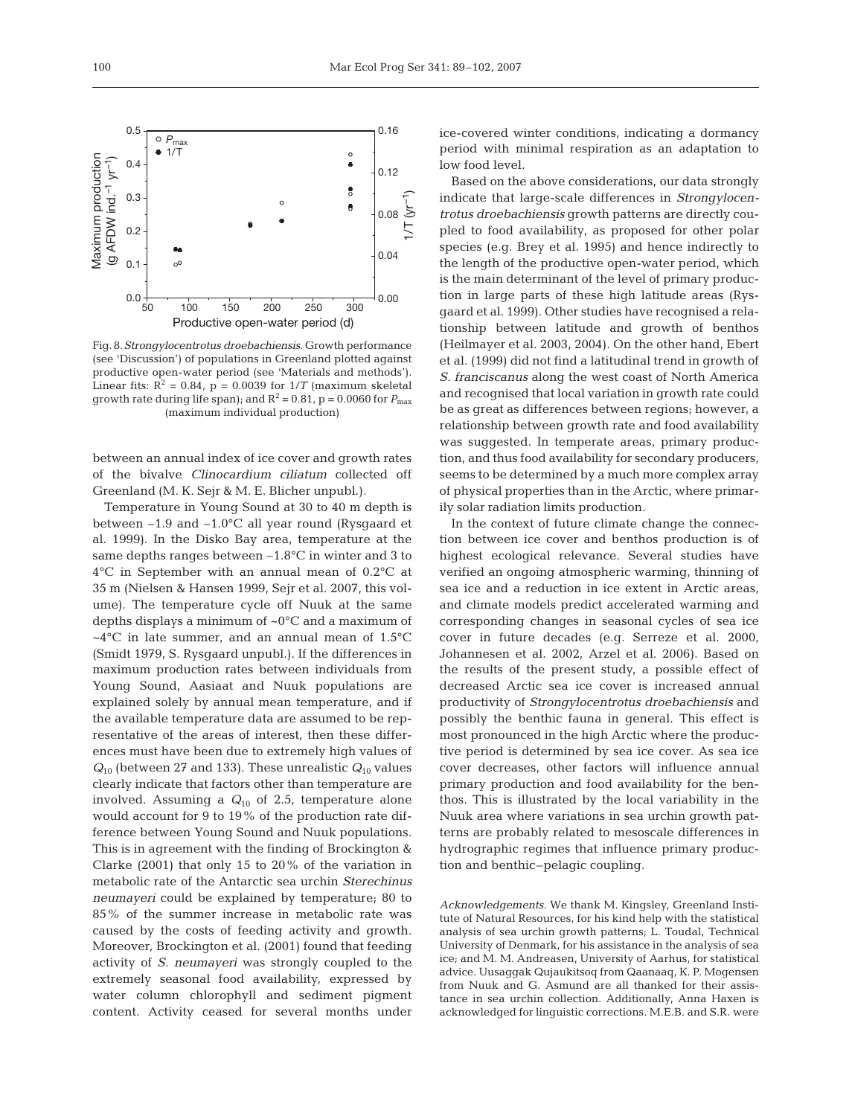

Fig. 8.*Strongylocentrotus droebachiensis*. Growth performance (see 'Discussion') of populations in Greenland plotted against productive open-water period (see 'Materials and methods'). Linear fits:  $R^2 = 0.84$ ,  $p = 0.0039$  for  $1/T$  (maximum skeletal growth rate during life span); and  $R^2 = 0.81$ ,  $p = 0.0060$  for  $P_{\text{max}}$ (maximum individual production)

between an annual index of ice cover and growth rates of the bivalve *Clinocardium ciliatum* collected off Greenland (M. K. Sejr & M. E. Blicher unpubl.).

Temperature in Young Sound at 30 to 40 m depth is between –1.9 and –1.0°C all year round (Rysgaard et al. 1999). In the Disko Bay area, temperature at the same depths ranges between –1.8°C in winter and 3 to 4°C in September with an annual mean of 0.2°C at 35 m (Nielsen & Hansen 1999, Sejr et al. 2007, this volume). The temperature cycle off Nuuk at the same depths displays a minimum of ~0°C and a maximum of  $\sim$ 4°C in late summer, and an annual mean of 1.5°C (Smidt 1979, S. Rysgaard unpubl.). If the differences in maximum production rates between individuals from Young Sound, Aasiaat and Nuuk populations are explained solely by annual mean temperature, and if the available temperature data are assumed to be representative of the areas of interest, then these differences must have been due to extremely high values of  $Q_{10}$  (between 27 and 133). These unrealistic  $Q_{10}$  values clearly indicate that factors other than temperature are involved. Assuming a *Q*<sup>10</sup> of 2.5, temperature alone would account for 9 to 19% of the production rate difference between Young Sound and Nuuk populations. This is in agreement with the finding of Brockington & Clarke (2001) that only 15 to 20% of the variation in metabolic rate of the Antarctic sea urchin *Sterechinus neumayeri* could be explained by temperature; 80 to 85% of the summer increase in metabolic rate was caused by the costs of feeding activity and growth. Moreover, Brockington et al. (2001) found that feeding activity of *S. neumayeri* was strongly coupled to the extremely seasonal food availability, expressed by water column chlorophyll and sediment pigment content. Activity ceased for several months under

ice-covered winter conditions, indicating a dormancy period with minimal respiration as an adaptation to low food level.

Based on the above considerations, our data strongly indicate that large-scale differences in *Strongylocentrotus droebachiensis* growth patterns are directly coupled to food availability, as proposed for other polar species (e.g. Brey et al. 1995) and hence indirectly to the length of the productive open-water period, which is the main determinant of the level of primary production in large parts of these high latitude areas (Rysgaard et al. 1999). Other studies have recognised a relationship between latitude and growth of benthos (Heilmayer et al. 2003, 2004). On the other hand, Ebert et al. (1999) did not find a latitudinal trend in growth of *S. franciscanus* along the west coast of North America and recognised that local variation in growth rate could be as great as differences between regions; however, a relationship between growth rate and food availability was suggested. In temperate areas, primary production, and thus food availability for secondary producers, seems to be determined by a much more complex array of physical properties than in the Arctic, where primarily solar radiation limits production.

In the context of future climate change the connection between ice cover and benthos production is of highest ecological relevance. Several studies have verified an ongoing atmospheric warming, thinning of sea ice and a reduction in ice extent in Arctic areas, and climate models predict accelerated warming and corresponding changes in seasonal cycles of sea ice cover in future decades (e.g. Serreze et al. 2000, Johannesen et al. 2002, Arzel et al. 2006). Based on the results of the present study, a possible effect of decreased Arctic sea ice cover is increased annual productivity of *Strongylocentrotus droebachiensis* and possibly the benthic fauna in general. This effect is most pronounced in the high Arctic where the productive period is determined by sea ice cover. As sea ice cover decreases, other factors will influence annual primary production and food availability for the benthos. This is illustrated by the local variability in the Nuuk area where variations in sea urchin growth patterns are probably related to mesoscale differences in hydrographic regimes that influence primary production and benthic–pelagic coupling.

*Acknowledgements.* We thank M. Kingsley, Greenland Institute of Natural Resources, for his kind help with the statistical analysis of sea urchin growth patterns; L. Toudal, Technical University of Denmark, for his assistance in the analysis of sea ice; and M. M. Andreasen, University of Aarhus, for statistical advice. Uusaggak Qujaukitsoq from Qaanaaq, K. P. Mogensen from Nuuk and G. Asmund are all thanked for their assistance in sea urchin collection. Additionally, Anna Haxen is acknowledged for linguistic corrections. M.E.B. and S.R. were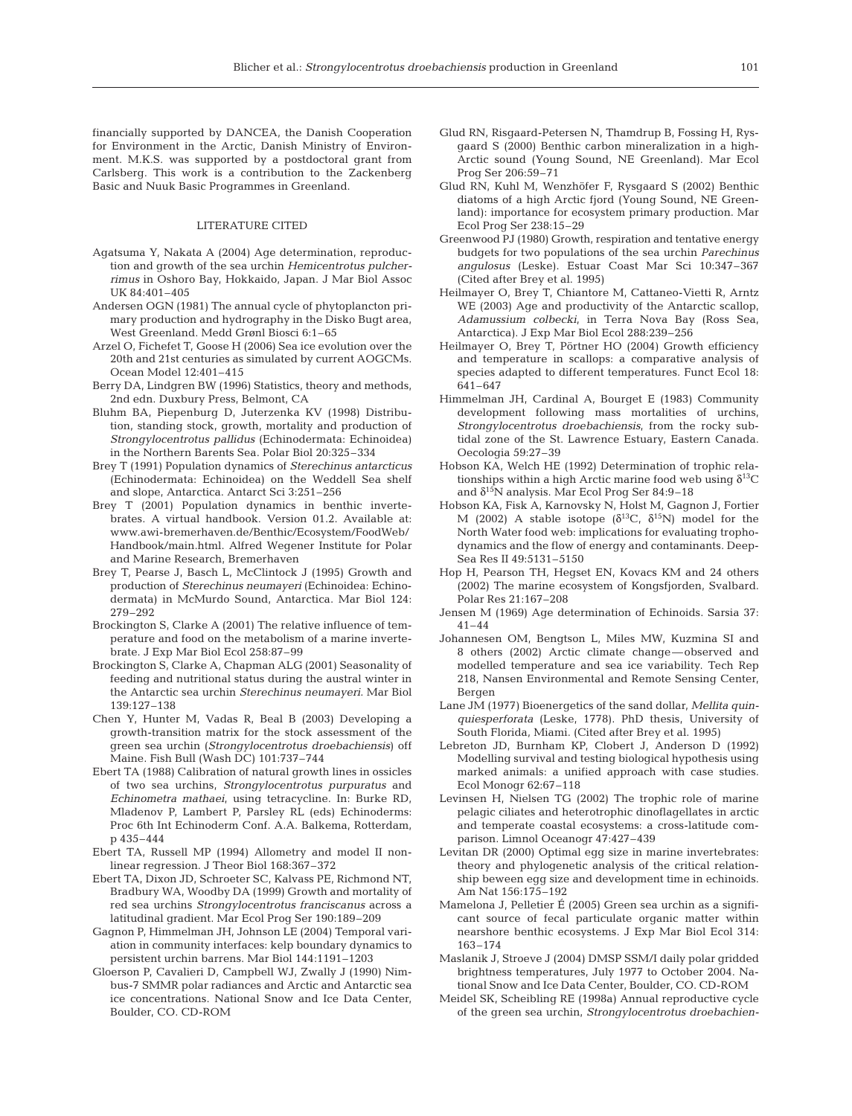financially supported by DANCEA, the Danish Cooperation for Environment in the Arctic, Danish Ministry of Environment. M.K.S. was supported by a postdoctoral grant from Carlsberg. This work is a contribution to the Zackenberg Basic and Nuuk Basic Programmes in Greenland.

# LITERATURE CITED

- Agatsuma Y, Nakata A (2004) Age determination, reproduction and growth of the sea urchin *Hemicentrotus pulcherrimus* in Oshoro Bay, Hokkaido, Japan. J Mar Biol Assoc UK 84:401–405
- Andersen OGN (1981) The annual cycle of phytoplancton primary production and hydrography in the Disko Bugt area, West Greenland. Medd Grønl Biosci 6:1–65
- Arzel O, Fichefet T, Goose H (2006) Sea ice evolution over the 20th and 21st centuries as simulated by current AOGCMs. Ocean Model 12:401–415
- Berry DA, Lindgren BW (1996) Statistics, theory and methods, 2nd edn. Duxbury Press, Belmont, CA
- Bluhm BA, Piepenburg D, Juterzenka KV (1998) Distribution, standing stock, growth, mortality and production of *Strongylocentrotus pallidus* (Echinodermata: Echinoidea) in the Northern Barents Sea. Polar Biol 20:325–334
- Brey T (1991) Population dynamics of *Sterechinus antarcticus* (Echinodermata: Echinoidea) on the Weddell Sea shelf and slope, Antarctica. Antarct Sci 3:251–256
- Brey T (2001) Population dynamics in benthic invertebrates. A virtual handbook. Version 01.2. Available at: www.awi-bremerhaven.de/Benthic/Ecosystem/FoodWeb/ Handbook/main.html. Alfred Wegener Institute for Polar and Marine Research, Bremerhaven
- Brey T, Pearse J, Basch L, McClintock J (1995) Growth and production of *Sterechinus neumayeri* (Echinoidea: Echinodermata) in McMurdo Sound, Antarctica. Mar Biol 124: 279–292
- Brockington S, Clarke A (2001) The relative influence of temperature and food on the metabolism of a marine invertebrate. J Exp Mar Biol Ecol 258:87–99
- Brockington S, Clarke A, Chapman ALG (2001) Seasonality of feeding and nutritional status during the austral winter in the Antarctic sea urchin *Sterechinus neumayeri*. Mar Biol 139:127–138
- Chen Y, Hunter M, Vadas R, Beal B (2003) Developing a growth-transition matrix for the stock assessment of the green sea urchin (*Strongylocentrotus droebachiensis*) off Maine. Fish Bull (Wash DC) 101:737–744
- Ebert TA (1988) Calibration of natural growth lines in ossicles of two sea urchins, *Strongylocentrotus purpuratus* and *Echinometra mathaei*, using tetracycline. In: Burke RD, Mladenov P, Lambert P, Parsley RL (eds) Echinoderms: Proc 6th Int Echinoderm Conf. A.A. Balkema, Rotterdam, p 435–444
- Ebert TA, Russell MP (1994) Allometry and model II nonlinear regression. J Theor Biol 168:367–372
- Ebert TA, Dixon JD, Schroeter SC, Kalvass PE, Richmond NT, Bradbury WA, Woodby DA (1999) Growth and mortality of red sea urchins *Strongylocentrotus franciscanus* across a latitudinal gradient. Mar Ecol Prog Ser 190:189–209
- Gagnon P, Himmelman JH, Johnson LE (2004) Temporal variation in community interfaces: kelp boundary dynamics to persistent urchin barrens. Mar Biol 144:1191–1203
- Gloerson P, Cavalieri D, Campbell WJ, Zwally J (1990) Nimbus-7 SMMR polar radiances and Arctic and Antarctic sea ice concentrations. National Snow and Ice Data Center, Boulder, CO. CD-ROM
- Glud RN, Risgaard-Petersen N, Thamdrup B, Fossing H, Rysgaard S (2000) Benthic carbon mineralization in a high-Arctic sound (Young Sound, NE Greenland). Mar Ecol Prog Ser 206:59–71
- Glud RN, Kuhl M, Wenzhöfer F, Rysgaard S (2002) Benthic diatoms of a high Arctic fjord (Young Sound, NE Greenland): importance for ecosystem primary production. Mar Ecol Prog Ser 238:15–29
- Greenwood PJ (1980) Growth, respiration and tentative energy budgets for two populations of the sea urchin *Parechinus angulosus* (Leske). Estuar Coast Mar Sci 10:347–367 (Cited after Brey et al. 1995)
- Heilmayer O, Brey T, Chiantore M, Cattaneo-Vietti R, Arntz WE (2003) Age and productivity of the Antarctic scallop, *Adamussium colbecki*, in Terra Nova Bay (Ross Sea, Antarctica). J Exp Mar Biol Ecol 288:239–256
- Heilmayer O, Brey T, Pörtner HO (2004) Growth efficiency and temperature in scallops: a comparative analysis of species adapted to different temperatures. Funct Ecol 18: 641–647
- Himmelman JH, Cardinal A, Bourget E (1983) Community development following mass mortalities of urchins, *Strongylocentrotus droebachiensis*, from the rocky subtidal zone of the St. Lawrence Estuary, Eastern Canada. Oecologia 59:27–39
- Hobson KA, Welch HE (1992) Determination of trophic relationships within a high Arctic marine food web using  $\delta^{13}C$ and  $\delta^{15}N$  analysis. Mar Ecol Prog Ser 84:9-18
- Hobson KA, Fisk A, Karnovsky N, Holst M, Gagnon J, Fortier M (2002) A stable isotope ( $\delta^{13}$ C,  $\delta^{15}$ N) model for the North Water food web: implications for evaluating trophodynamics and the flow of energy and contaminants. Deep-Sea Res II 49:5131–5150
- Hop H, Pearson TH, Hegset EN, Kovacs KM and 24 others (2002) The marine ecosystem of Kongsfjorden, Svalbard. Polar Res 21:167–208
- Jensen M (1969) Age determination of Echinoids. Sarsia 37: 41–44
- Johannesen OM, Bengtson L, Miles MW, Kuzmina SI and 8 others (2002) Arctic climate change— observed and modelled temperature and sea ice variability. Tech Rep 218, Nansen Environmental and Remote Sensing Center, Bergen
- Lane JM (1977) Bioenergetics of the sand dollar, *Mellita quinquiesperforata* (Leske, 1778). PhD thesis, University of South Florida, Miami. (Cited after Brey et al. 1995)
- Lebreton JD, Burnham KP, Clobert J, Anderson D (1992) Modelling survival and testing biological hypothesis using marked animals: a unified approach with case studies. Ecol Monogr 62:67–118
- Levinsen H, Nielsen TG (2002) The trophic role of marine pelagic ciliates and heterotrophic dinoflagellates in arctic and temperate coastal ecosystems: a cross-latitude comparison. Limnol Oceanogr 47:427–439
- Levitan DR (2000) Optimal egg size in marine invertebrates: theory and phylogenetic analysis of the critical relationship beween egg size and development time in echinoids. Am Nat 156:175–192
- Mamelona J, Pelletier É (2005) Green sea urchin as a significant source of fecal particulate organic matter within nearshore benthic ecosystems. J Exp Mar Biol Ecol 314: 163–174
- Maslanik J, Stroeve J (2004) DMSP SSM/I daily polar gridded brightness temperatures, July 1977 to October 2004. National Snow and Ice Data Center, Boulder, CO. CD-ROM
- Meidel SK, Scheibling RE (1998a) Annual reproductive cycle of the green sea urchin, *Strongylocentrotus droebachien-*